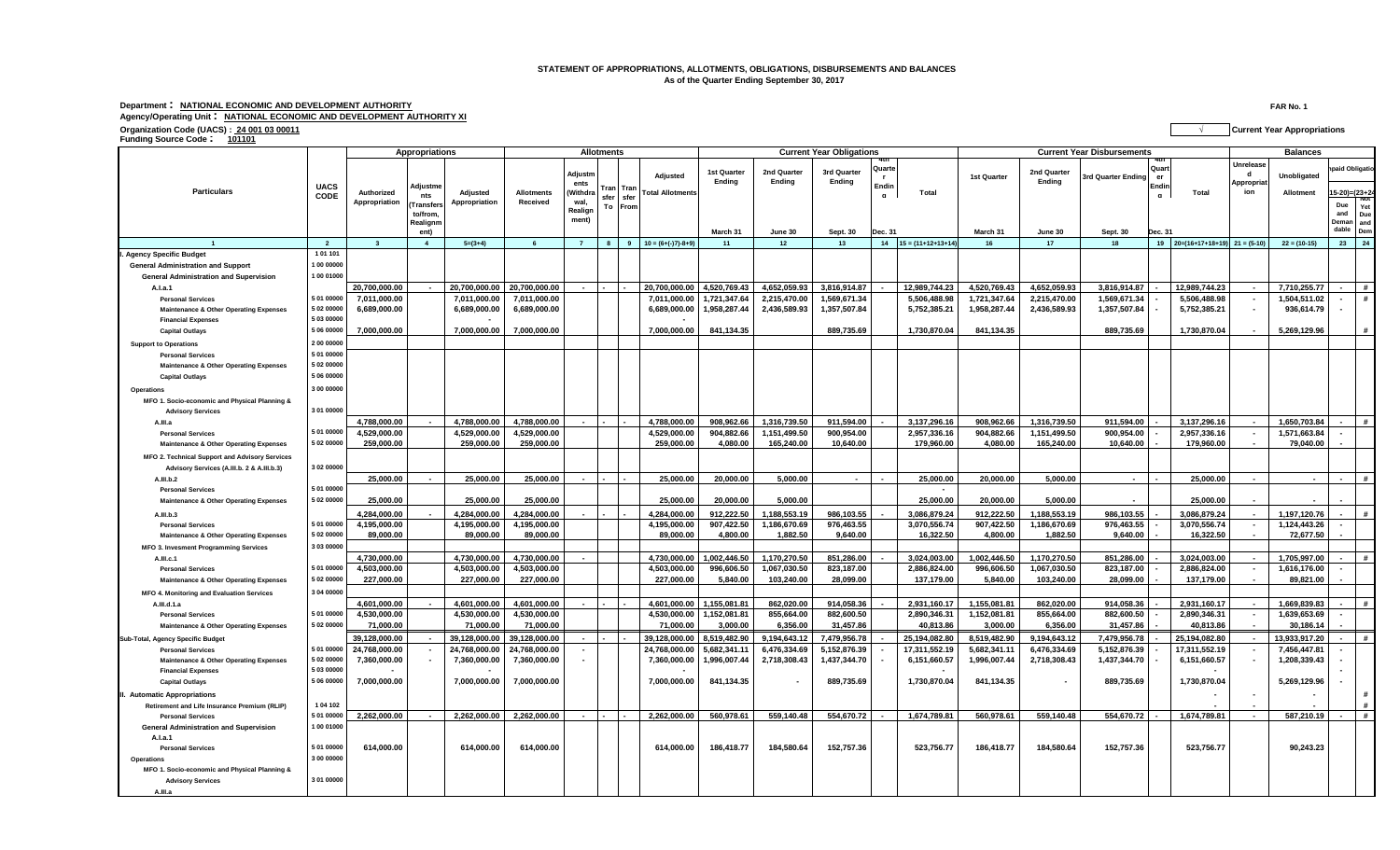## **STATEMENT OF APPROPRIATIONS, ALLOTMENTS, OBLIGATIONS, DISBURSEMENTS AND BALANCES As of the Quarter Ending September 30, 2017**

**Department : NATIONAL ECONOMIC AND DEVELOPMENT AUTHORITY FAR No. 1 Agency/Operating Unit : NATIONAL ECONOMIC AND DEVELOPMENT AUTHORITY XI**

|                                                                             |                | Appropriations          |                  |               |               |                 | <b>Allotments</b> |                         | <b>Current Year Obligations</b> |                       |                       |                 |                           |              | <b>Current Year Disbursements</b> |                    | <b>Balances</b>      |                                       |                             |                |                            |
|-----------------------------------------------------------------------------|----------------|-------------------------|------------------|---------------|---------------|-----------------|-------------------|-------------------------|---------------------------------|-----------------------|-----------------------|-----------------|---------------------------|--------------|-----------------------------------|--------------------|----------------------|---------------------------------------|-----------------------------|----------------|----------------------------|
|                                                                             | <b>UACS</b>    |                         | <b>\djustm</b> e |               |               | Adjustm<br>ents | ran<br>Tran       | Adjusted                | <b>1st Quarter</b><br>Ending    | 2nd Quarter<br>Ending | 3rd Quarter<br>Ending | Quarte<br>Endin |                           | 1st Quarter  | 2nd Quarter<br>Ending             | 3rd Quarter Ending | Quart<br>er<br>Endin |                                       | Unrelease<br>d<br>Appropria | Unobligated    | aid Obligatio              |
| <b>Particulars</b>                                                          | CODE           | Authorized              | nts              | Adjusted      | Allotments    | (Withdra        | sfer<br>sfer      | <b>Total Allotments</b> |                                 |                       |                       |                 | Total                     |              |                                   |                    | $\mathbf{a}$         | Total                                 | ion                         | Allotment      | $15-20 = (23+2)$           |
|                                                                             |                | Appropriation           | <b>Transfers</b> | Appropriation | Received      | wal.<br>Realign | To<br>Fron        |                         |                                 |                       |                       |                 |                           |              |                                   |                    |                      |                                       |                             |                | Due                        |
|                                                                             |                |                         | to/from.         |               |               | ment)           |                   |                         |                                 |                       |                       |                 |                           |              |                                   |                    |                      |                                       |                             |                | and<br>Due<br>Deman        |
|                                                                             |                |                         | Realignm<br>ent) |               |               |                 |                   |                         | March 31                        | June 30               | <b>Sept. 30</b>       | Jec. 31         |                           | March 31     | June 30                           | Sept. 30           | Dec. 31              |                                       |                             |                | and<br>dable<br><b>Dem</b> |
| $\overline{1}$                                                              | $\overline{2}$ | $\overline{\mathbf{3}}$ | $\overline{4}$   | $5=(3+4)$     | 6             | $\overline{7}$  |                   | 9 $10 = (6+(-7)-8+9)$   | 11                              | 12                    | 13                    |                 | $14$ $15 = (11+12+13+14)$ | 16           | 17                                | 18                 |                      | $19$ $20=(16+17+18+19)$ $21 = (5-10)$ |                             | $22 = (10-15)$ | 23 24                      |
| <b>Agency Specific Budget</b>                                               | 1 01 101       |                         |                  |               |               |                 |                   |                         |                                 |                       |                       |                 |                           |              |                                   |                    |                      |                                       |                             |                |                            |
| <b>General Administration and Support</b>                                   | 00 00000       |                         |                  |               |               |                 |                   |                         |                                 |                       |                       |                 |                           |              |                                   |                    |                      |                                       |                             |                |                            |
| <b>General Administration and Supervision</b>                               | 00 01000       |                         |                  |               |               |                 |                   |                         |                                 |                       |                       |                 |                           |              |                                   |                    |                      |                                       |                             |                |                            |
| A.I.a.1                                                                     |                | 20,700,000.00           |                  | 20,700,000.00 | 20,700,000.00 |                 |                   | 20,700,000.00           | 4,520,769.43                    | 4,652,059.93          | 3.816.914.87          |                 | 12,989,744.2              | 4,520,769.43 | 4,652,059.93                      | 3,816,914.87       |                      | 12,989,744.23                         |                             | 7,710,255.77   |                            |
| <b>Personal Services</b>                                                    | 5 01 00000     | 7,011,000.00            |                  | 7,011,000.00  | 7,011,000.00  |                 |                   | 7,011,000.00            | 1,721,347.64                    | 2,215,470.00          | 1,569,671.34          |                 | 5,506,488.98              | 1,721,347.64 | 2,215,470.00                      | 1,569,671.34       |                      | 5,506,488.98                          | $\sim$                      | 1,504,511.02   | #                          |
| <b>Maintenance &amp; Other Operating Expenses</b>                           | 02 00000       | 6,689,000.00            |                  | 6,689,000.00  | 6,689,000.00  |                 |                   | 6,689,000.00            | 1,958,287.44                    | 2,436,589.93          | 1,357,507.84          |                 | 5,752,385.21              | 1,958,287.44 | 2,436,589.93                      | 1,357,507.84       |                      | 5,752,385.21                          |                             | 936,614.79     |                            |
| <b>Financial Expenses</b>                                                   | 5 03 00000     |                         |                  |               |               |                 |                   |                         |                                 |                       |                       |                 |                           |              |                                   |                    |                      |                                       |                             |                |                            |
| <b>Capital Outlays</b>                                                      | 5 06 00000     | 7,000,000.00            |                  | 7,000,000.00  | 7,000,000.00  |                 |                   | 7.000.000.00            | 841,134.35                      |                       | 889,735.69            |                 | 1.730.870.04              | 841.134.35   |                                   | 889.735.69         |                      | 1,730,870.04                          |                             | 5,269,129.96   | #                          |
|                                                                             | 2 00 00000     |                         |                  |               |               |                 |                   |                         |                                 |                       |                       |                 |                           |              |                                   |                    |                      |                                       |                             |                |                            |
| <b>Support to Operations</b>                                                | 5 01 00000     |                         |                  |               |               |                 |                   |                         |                                 |                       |                       |                 |                           |              |                                   |                    |                      |                                       |                             |                |                            |
| <b>Personal Services</b>                                                    | 5 02 00000     |                         |                  |               |               |                 |                   |                         |                                 |                       |                       |                 |                           |              |                                   |                    |                      |                                       |                             |                |                            |
| <b>Maintenance &amp; Other Operating Expenses</b><br><b>Capital Outlays</b> | 5 06 00000     |                         |                  |               |               |                 |                   |                         |                                 |                       |                       |                 |                           |              |                                   |                    |                      |                                       |                             |                |                            |
|                                                                             |                |                         |                  |               |               |                 |                   |                         |                                 |                       |                       |                 |                           |              |                                   |                    |                      |                                       |                             |                |                            |
| Operations                                                                  | 3 00 00000     |                         |                  |               |               |                 |                   |                         |                                 |                       |                       |                 |                           |              |                                   |                    |                      |                                       |                             |                |                            |
| MFO 1. Socio-economic and Physical Planning &                               |                |                         |                  |               |               |                 |                   |                         |                                 |                       |                       |                 |                           |              |                                   |                    |                      |                                       |                             |                |                            |
| <b>Advisory Services</b>                                                    | 3 01 00000     |                         |                  |               |               |                 |                   |                         |                                 |                       |                       |                 |                           |              |                                   |                    |                      |                                       |                             |                |                            |
| A.III.a                                                                     |                | 4,788,000.00            |                  | 4,788,000.00  | 4,788,000.00  |                 |                   | 4,788,000.00            | 908,962.66                      | 1,316,739.50          | 911,594.00            |                 | 3,137,296.16              | 908,962.66   | 1,316,739.50                      | 911,594.00         |                      | 3,137,296.16                          |                             | 1,650,703.84   | #                          |
| <b>Personal Services</b>                                                    | 5 01 00000     | 4,529,000.00            |                  | 4,529,000.00  | 4,529,000.00  |                 |                   | 4,529,000.00            | 904,882.66                      | 1,151,499.50          | 900,954.00            |                 | 2,957,336.16              | 904,882.66   | 1,151,499.50                      | 900,954.00         |                      | 2,957,336.16                          |                             | 1,571,663.84   |                            |
| <b>Maintenance &amp; Other Operating Expenses</b>                           | 5 02 00000     | 259,000.00              |                  | 259,000.00    | 259,000.00    |                 |                   | 259,000.00              | 4,080.00                        | 165,240.00            | 10,640.00             |                 | 179,960.00                | 4,080.00     | 165,240.00                        | 10,640.00          |                      | 179,960.00                            |                             | 79,040.00      |                            |
| MFO 2. Technical Support and Advisory Services                              |                |                         |                  |               |               |                 |                   |                         |                                 |                       |                       |                 |                           |              |                                   |                    |                      |                                       |                             |                |                            |
| Advisory Services (A.III.b. 2 & A.III.b.3)                                  | 3 02 00000     |                         |                  |               |               |                 |                   |                         |                                 |                       |                       |                 |                           |              |                                   |                    |                      |                                       |                             |                |                            |
| A.III.b.2                                                                   |                | 25.000.00               |                  | 25.000.00     | 25,000.00     |                 |                   | 25.000.00               | 20,000.00                       | 5.000.00              |                       |                 | 25,000.00                 | 20.000.00    | 5,000.00                          |                    |                      | 25.000.00                             |                             |                | #                          |
| <b>Personal Services</b>                                                    | 5 01 00000     |                         |                  |               |               |                 |                   |                         |                                 |                       |                       |                 |                           |              |                                   |                    |                      |                                       |                             |                |                            |
| <b>Maintenance &amp; Other Operating Expenses</b>                           | 5 02 00000     | 25,000.00               |                  | 25,000.00     | 25,000.00     |                 |                   | 25,000.00               | 20,000.00                       | 5,000.00              |                       |                 | 25,000.00                 | 20,000.00    | 5,000.00                          |                    |                      | 25,000.00                             |                             |                |                            |
| A.III.b.3                                                                   |                | 4,284,000.00            |                  | 4.284.000.00  | 4.284.000.00  |                 |                   | 4.284.000.00            | 912,222.50                      | .188.553.19           | 986.103.55            |                 | 3.086.879.24              | 912,222.50   | 1.188.553.19                      | 986.103.55         |                      | 3,086,879.24                          |                             | 1,197,120.76   |                            |
| <b>Personal Services</b>                                                    | 5 01 00000     | 4,195,000.00            |                  | 4,195,000.00  | 4,195,000.00  |                 |                   | 4,195,000.00            | 907,422.50                      | 1,186,670.69          | 976,463.55            |                 | 3,070,556.74              | 907,422.50   | 1,186,670.69                      | 976,463.55         |                      | 3,070,556.74                          | $\sim$                      | 1,124,443.26   |                            |
| <b>Maintenance &amp; Other Operating Expenses</b>                           | 5 02 00000     | 89,000.00               |                  | 89,000.00     | 89,000.00     |                 |                   | 89,000.00               | 4,800.00                        | 1,882.50              | 9,640.00              |                 | 16,322.50                 | 4,800.00     | 1,882.50                          | 9,640.00           |                      | 16,322.50                             |                             | 72,677.50      |                            |
| MFO 3. Invesment Programming Services                                       | 3 03 00000     |                         |                  |               |               |                 |                   |                         |                                 |                       |                       |                 |                           |              |                                   |                    |                      |                                       |                             |                |                            |
| A.III.c.1                                                                   |                | 4,730,000.00            |                  | 4,730,000.00  | 4,730,000.00  |                 |                   | 4,730,000.00            | 1,002,446.50                    | 1,170,270.50          | 851,286.00            |                 | 3,024,003.00              | 1,002,446.50 | 1,170,270.50                      | 851,286.00         |                      | 3,024,003.00                          | $\sim$                      | 1,705,997.00   |                            |
| <b>Personal Services</b>                                                    | 5 01 00000     | 4,503,000.00            |                  | 4,503,000.00  | 4,503,000.00  |                 |                   | 4,503,000.00            | 996,606.50                      | 1,067,030.50          | 823,187.00            |                 | 2,886,824.00              | 996,606.50   | 1,067,030.50                      | 823,187.00         |                      | 2,886,824.00                          | $\sim$                      | 1,616,176.00   |                            |
| <b>Maintenance &amp; Other Operating Expenses</b>                           | 5 02 00000     | 227,000.00              |                  | 227,000.00    | 227,000.00    |                 |                   | 227,000.00              | 5,840.00                        | 103,240.00            | 28,099.00             |                 | 137,179.00                | 5,840.00     | 103,240.00                        | 28,099.00          |                      | 137,179.00                            |                             | 89,821.00      |                            |
| MFO 4. Monitoring and Evaluation Services                                   | 3 04 00000     |                         |                  |               |               |                 |                   |                         |                                 |                       |                       |                 |                           |              |                                   |                    |                      |                                       |                             |                |                            |
| A.III.d.1.a                                                                 |                | 4,601,000.00            | $\sim$           | 4,601,000.00  | 4,601,000.00  |                 |                   | 4,601,000.00            | 1,155,081.81                    | 862,020.00            | 914,058.36            |                 | 2,931,160.17              | 1,155,081.81 | 862,020.00                        | 914,058.36         |                      | 2,931,160.17                          | $\sim$                      | 1,669,839.83   | #                          |
| <b>Personal Services</b>                                                    | 5 01 00000     | 4,530,000.00            |                  | 4,530,000.00  | 4,530,000.00  |                 |                   | 4,530,000.00            | 1,152,081.81                    | 855,664.00            | 882,600.50            |                 | 2,890,346.31              | 1,152,081.81 | 855,664.00                        | 882,600.50         |                      | 2,890,346.31                          | $\sim$                      | 1,639,653.69   |                            |
| <b>Maintenance &amp; Other Operating Expenses</b>                           | 5 02 00000     | 71,000.00               |                  | 71,000.00     | 71.000.00     |                 |                   | 71,000.00               | 3,000.00                        | 6,356.00              | 31,457.86             |                 | 40,813.86                 | 3,000.00     | 6,356.00                          | 31,457.86          |                      | 40,813.86                             |                             | 30,186.14      |                            |
| Sub-Total, Agency Specific Budget                                           |                | 39,128,000.00           |                  | 39,128,000.00 | 39,128,000.00 |                 |                   | 39,128,000.00           | 8,519,482.90                    | 9,194,643.12          | 7,479,956.78          |                 | 25,194,082.80             | 8,519,482.90 | 9,194,643.12                      | 7,479,956.78       |                      | 25,194,082.80                         |                             | 13,933,917.20  | #                          |
| <b>Personal Services</b>                                                    | 5 01 00000     | 24,768,000.00           |                  | 24,768,000.00 | 24,768,000.00 |                 |                   | 24,768,000.00           | 5,682,341.11                    | 6,476,334.69          | 5,152,876.39          |                 | 17,311,552.19             | 5,682,341.11 | 6,476,334.69                      | 5,152,876.39       |                      | 17,311,552.19                         |                             | 7,456,447.81   |                            |
| <b>Maintenance &amp; Other Operating Expenses</b>                           | 5 02 00000     | 7,360,000.00            |                  | 7,360,000.00  | 7,360,000.00  |                 |                   | 7,360,000.00            | 1,996,007.44                    | 2,718,308.43          | 1,437,344.70          |                 | 6,151,660.57              | 1,996,007.44 | 2,718,308.43                      | 1,437,344.70       |                      | 6,151,660.57                          |                             | 1,208,339.43   |                            |
| <b>Financial Expenses</b>                                                   | 5 03 00000     |                         |                  |               |               |                 |                   |                         |                                 |                       |                       |                 |                           |              |                                   |                    |                      |                                       |                             |                |                            |
| <b>Capital Outlays</b>                                                      | 5 06 00000     | 7,000,000.00            |                  | 7,000,000.00  | 7,000,000.00  |                 |                   | 7,000,000.00            | 841,134.35                      |                       | 889,735.69            |                 | 1,730,870.04              | 841,134.35   | $\blacksquare$                    | 889,735.69         |                      | 1,730,870.04                          |                             | 5,269,129.96   |                            |
| II. Automatic Appropriations                                                |                |                         |                  |               |               |                 |                   |                         |                                 |                       |                       |                 |                           |              |                                   |                    |                      |                                       |                             |                |                            |
| Retirement and Life Insurance Premium (RLIP)                                | 1 04 102       |                         |                  |               |               |                 |                   |                         |                                 |                       |                       |                 |                           |              |                                   |                    |                      |                                       |                             |                |                            |
| <b>Personal Services</b>                                                    | 5 01 00000     | 2,262,000.00            |                  | 2,262,000.00  | 2,262,000.00  |                 |                   | 2,262,000.00            | 560,978.61                      | 559,140.48            | 554,670.72            |                 | 1,674,789.81              | 560,978.61   | 559,140.48                        | 554,670.72         |                      | 1,674,789.81                          |                             | 587,210.19     | #                          |
| <b>General Administration and Supervision</b>                               | 00 01000       |                         |                  |               |               |                 |                   |                         |                                 |                       |                       |                 |                           |              |                                   |                    |                      |                                       |                             |                |                            |
| A.I.a.1                                                                     |                |                         |                  |               |               |                 |                   |                         |                                 |                       |                       |                 |                           |              |                                   |                    |                      |                                       |                             |                |                            |
| <b>Personal Services</b>                                                    | 5 01 00000     | 614,000.00              |                  | 614,000.00    | 614,000.00    |                 |                   | 614,000.00              | 186,418.77                      | 184,580.64            | 152,757.36            |                 | 523,756.77                | 186,418.77   | 184,580.64                        | 152,757.36         |                      | 523,756.77                            |                             | 90,243.23      |                            |
| Operations                                                                  | 3 00 00000     |                         |                  |               |               |                 |                   |                         |                                 |                       |                       |                 |                           |              |                                   |                    |                      |                                       |                             |                |                            |
| MFO 1. Socio-economic and Physical Planning &                               |                |                         |                  |               |               |                 |                   |                         |                                 |                       |                       |                 |                           |              |                                   |                    |                      |                                       |                             |                |                            |
| <b>Advisory Services</b>                                                    | 3 01 00000     |                         |                  |               |               |                 |                   |                         |                                 |                       |                       |                 |                           |              |                                   |                    |                      |                                       |                             |                |                            |
| A.III.a                                                                     |                |                         |                  |               |               |                 |                   |                         |                                 |                       |                       |                 |                           |              |                                   |                    |                      |                                       |                             |                |                            |

**Organization Code (UACS) : 24 001 03 00011 √ Current Year Appropriations Funding Source Code : <sup>101101</sup>**